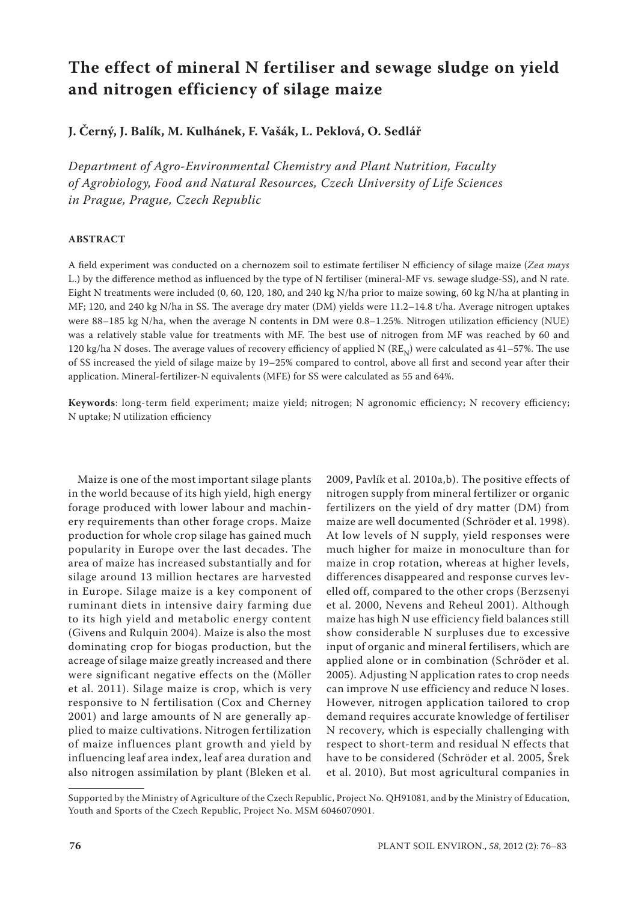# **The effect of mineral N fertiliser and sewage sludge on yield and nitrogen efficiency of silage maize**

**J. Černý, J. Balík, M. Kulhánek, F. Vašák, L. Peklová, O. Sedlář**

*Department of Agro-Environmental Chemistry and Plant Nutrition, Faculty of Agrobiology, Food and Natural Resources, Czech University of Life Sciences in Prague, Prague, Czech Republic*

## **ABSTRACT**

A field experiment was conducted on a chernozem soil to estimate fertiliser N efficiency of silage maize (*Zea mays*  L.) by the difference method as influenced by the type of N fertiliser (mineral-MF vs. sewage sludge-SS), and N rate. Eight N treatments were included (0, 60, 120, 180, and 240 kg N/ha prior to maize sowing, 60 kg N/ha at planting in MF; 120, and 240 kg N/ha in SS. The average dry mater (DM) yields were 11.2–14.8 t/ha. Average nitrogen uptakes were 88–185 kg N/ha, when the average N contents in DM were 0.8–1.25%. Nitrogen utilization efficiency (NUE) was a relatively stable value for treatments with MF. The best use of nitrogen from MF was reached by 60 and 120 kg/ha N doses. The average values of recovery efficiency of applied N  $(RE_N)$  were calculated as 41–57%. The use of SS increased the yield of silage maize by 19–25% compared to control, above all first and second year after their application. Mineral-fertilizer-N equivalents (MFE) for SS were calculated as 55 and 64%.

**Keywords**: long-term field experiment; maize yield; nitrogen; N agronomic efficiency; N recovery efficiency; N uptake; N utilization efficiency

Maize is one of the most important silage plants in the world because of its high yield, high energy forage produced with lower labour and machinery requirements than other forage crops. Maize production for whole crop silage has gained much popularity in Europe over the last decades. The area of maize has increased substantially and for silage around 13 million hectares are harvested in Europe. Silage maize is a key component of ruminant diets in intensive dairy farming due to its high yield and metabolic energy content (Givens and Rulquin 2004). Maize is also the most dominating crop for biogas production, but the acreage of silage maize greatly increased and there were significant negative effects on the (Möller et al. 2011). Silage maize is crop, which is very responsive to N fertilisation (Cox and Cherney 2001) and large amounts of N are generally applied to maize cultivations. Nitrogen fertilization of maize influences plant growth and yield by influencing leaf area index, leaf area duration and also nitrogen assimilation by plant (Bleken et al.

2009, Pavlík et al. 2010a,b). The positive effects of nitrogen supply from mineral fertilizer or organic fertilizers on the yield of dry matter (DM) from maize are well documented (Schröder et al. 1998). At low levels of N supply, yield responses were much higher for maize in monoculture than for maize in crop rotation, whereas at higher levels, differences disappeared and response curves levelled off, compared to the other crops (Berzsenyi et al. 2000, Nevens and Reheul 2001). Although maize has high N use efficiency field balances still show considerable N surpluses due to excessive input of organic and mineral fertilisers, which are applied alone or in combination (Schröder et al. 2005). Adjusting N application rates to crop needs can improve N use efficiency and reduce N loses. However, nitrogen application tailored to crop demand requires accurate knowledge of fertiliser N recovery, which is especially challenging with respect to short-term and residual N effects that have to be considered (Schröder et al. 2005, Šrek et al. 2010). But most agricultural companies in

Supported by the Ministry of Agriculture of the Czech Republic, Project No. QH91081, and by the Ministry of Education, Youth and Sports of the Czech Republic, Project No. MSM 6046070901.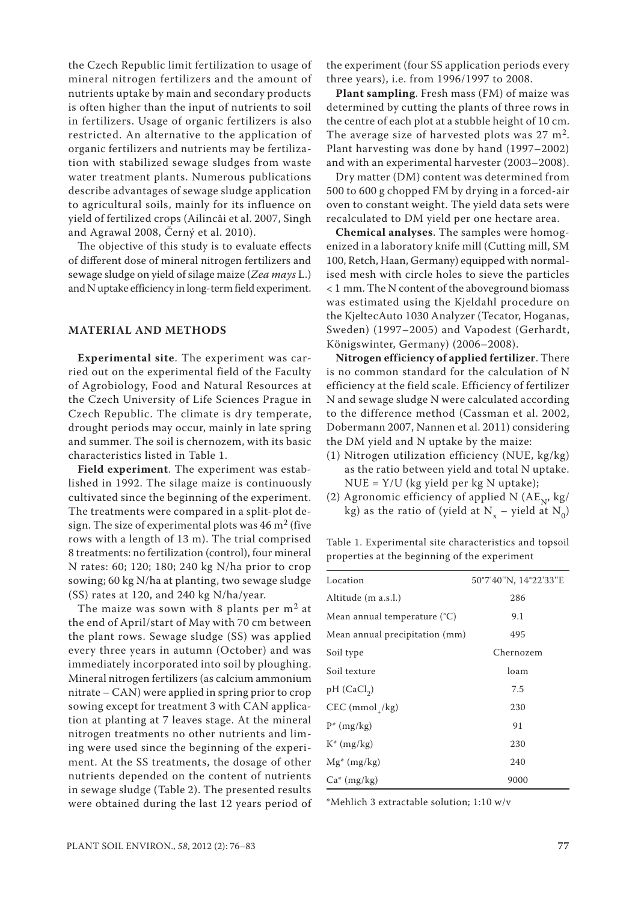the Czech Republic limit fertilization to usage of mineral nitrogen fertilizers and the amount of nutrients uptake by main and secondary products is often higher than the input of nutrients to soil in fertilizers. Usage of organic fertilizers is also restricted. An alternative to the application of organic fertilizers and nutrients may be fertilization with stabilized sewage sludges from waste water treatment plants. Numerous publications describe advantages of sewage sludge application to agricultural soils, mainly for its influence on yield of fertilized crops (Ailincăi et al. 2007, Singh and Agrawal 2008, Černý et al. 2010).

The objective of this study is to evaluate effects of different dose of mineral nitrogen fertilizers and sewage sludge on yield of silage maize (*Zea mays* L.) and N uptake efficiency in long-term field experiment.

## **MATERIAL AND METHODS**

**Experimental site**. The experiment was carried out on the experimental field of the Faculty of Agrobiology, Food and Natural Resources at the Czech University of Life Sciences Prague in Czech Republic. The climate is dry temperate, drought periods may occur, mainly in late spring and summer. The soil is chernozem, with its basic characteristics listed in Table 1.

**Field experiment**. The experiment was established in 1992. The silage maize is continuously cultivated since the beginning of the experiment. The treatments were compared in a split-plot design. The size of experimental plots was  $46 \text{ m}^2$  (five rows with a length of 13 m). The trial comprised 8 treatments: no fertilization (control), four mineral N rates: 60; 120; 180; 240 kg N/ha prior to crop sowing; 60 kg N/ha at planting, two sewage sludge (SS) rates at 120, and 240 kg N/ha/year.

The maize was sown with 8 plants per  $m<sup>2</sup>$  at the end of April/start of May with 70 cm between the plant rows. Sewage sludge (SS) was applied every three years in autumn (October) and was immediately incorporated into soil by ploughing. Mineral nitrogen fertilizers (as calcium ammonium nitrate – CAN) were applied in spring prior to crop sowing except for treatment 3 with CAN application at planting at 7 leaves stage. At the mineral nitrogen treatments no other nutrients and liming were used since the beginning of the experiment. At the SS treatments, the dosage of other nutrients depended on the content of nutrients in sewage sludge (Table 2). The presented results were obtained during the last 12 years period of

the experiment (four SS application periods every three years), i.e. from 1996/1997 to 2008.

**Plant sampling**. Fresh mass (FM) of maize was determined by cutting the plants of three rows in the centre of each plot at a stubble height of 10 cm. The average size of harvested plots was  $27 \text{ m}^2$ . Plant harvesting was done by hand (1997–2002) and with an experimental harvester (2003–2008).

Dry matter (DM) content was determined from 500 to 600 g chopped FM by drying in a forced-air oven to constant weight. The yield data sets were recalculated to DM yield per one hectare area.

**Chemical analyses**. The samples were homogenized in a laboratory knife mill (Cutting mill, SM 100, Retch, Haan, Germany) equipped with normalised mesh with circle holes to sieve the particles < 1 mm. The N content of the aboveground biomass was estimated using the Kjeldahl procedure on the KjeltecAuto 1030 Analyzer (Tecator, Hoganas, Sweden) (1997–2005) and Vapodest (Gerhardt, Königswinter, Germany) (2006–2008).

**Nitrogen efficiency of applied fertilizer**. There is no common standard for the calculation of N efficiency at the field scale. Efficiency of fertilizer N and sewage sludge N were calculated according to the difference method (Cassman et al. 2002, Dobermann 2007, Nannen et al. 2011) considering the DM yield and N uptake by the maize:

- (1) Nitrogen utilization efficiency (NUE, kg/kg) as the ratio between yield and total N uptake.  $NUE = Y/U$  (kg yield per kg N uptake);
- (2) Agronomic efficiency of applied N  $(AE_N, kg/A)$ kg) as the ratio of (yield at  $N_x$  – yield at  $N_0$ )

Table 1. Experimental site characteristics and topsoil properties at the beginning of the experiment

| Location                              | 50°7'40"N, 14°22'33"E |
|---------------------------------------|-----------------------|
| Altitude (m a.s.l.)                   | 286                   |
| Mean annual temperature $(^{\circ}C)$ | 9.1                   |
| Mean annual precipitation (mm)        | 495                   |
| Soil type                             | Chernozem             |
| Soil texture                          | loam                  |
| $pH$ (CaCl <sub>2</sub> )             | 7.5                   |
| $CEC (mmol_{1}/kg)$                   | 230                   |
| $P^*$ (mg/kg)                         | 91                    |
| $K^*$ (mg/kg)                         | 230                   |
| $Mg^*(mg/kg)$                         | 240                   |
| $Ca^*(mg/kg)$                         | 9000                  |

\*Mehlich 3 extractable solution; 1:10 w/v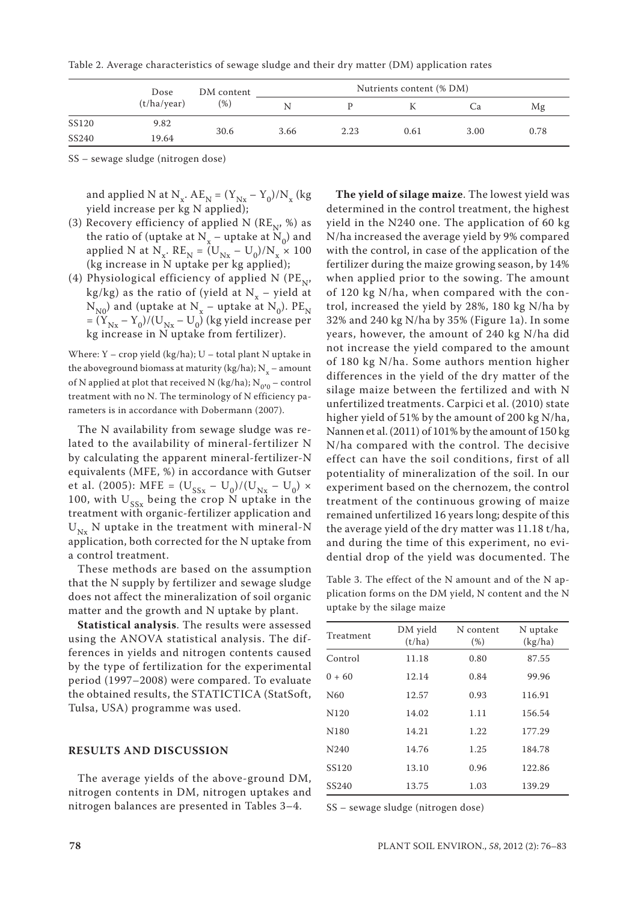Table 2. Average characteristics of sewage sludge and their dry matter (DM) application rates

|       | Dose<br>(t/ha/year) | DM content<br>(96) | Nutrients content (% DM) |      |      |      |      |
|-------|---------------------|--------------------|--------------------------|------|------|------|------|
|       |                     |                    | N                        |      |      | Ca   | Mg   |
| SS120 | 9.82                | 30.6               | 3.66                     |      | 0.61 | 3.00 |      |
| SS240 | 19.64               |                    |                          | 2.23 |      |      | 0.78 |

SS – sewage sludge (nitrogen dose)

and applied N at  $N_x$ .  $AE_N = (Y_{Nx} - Y_0)/N_x$  (kg yield increase per kg N applied);

- (3) Recovery efficiency of applied N ( $RE_{N}$ , %) as the ratio of (uptake at  $N_x$  – uptake at  $N_0$ ) and applied N at N<sub>x</sub>.  $RE_N = (U_{Nx} - U_0)/N_x \times 100$ (kg increase in N uptake per kg applied);
- (4) Physiological efficiency of applied N ( $PE_{\text{N}}$ ) kg/kg) as the ratio of (yield at  $N_r$  – yield at  $N_{N0}$ ) and (uptake at  $N_{x}$  – uptake at  $N_{0}$ ). PE<sub>N</sub>  $=(\tilde{Y}_{Nx}-Y_0)/(U_{Nx}-U_0)$  (kg yield increase per kg increase in N uptake from fertilizer).

Where:  $Y -$  crop yield (kg/ha);  $U -$  total plant N uptake in the aboveground biomass at maturity (kg/ha);  $N_{x}$  – amount of N applied at plot that received N (kg/ha);  $N_{0'0}$  – control treatment with no N. The terminology of N efficiency parameters is in accordance with Dobermann (2007).

The N availability from sewage sludge was related to the availability of mineral-fertilizer N by calculating the apparent mineral-fertilizer-N equivalents (MFE, %) in accordance with Gutser et al. (2005): MFE =  $(U_{SSx} - U_0)/(U_{Nx} - U_0)$  × 100, with  $U_{ss}$  being the crop N uptake in the treatment with organic-fertilizer application and  $U_{Nx}$  N uptake in the treatment with mineral-N application, both corrected for the N uptake from a control treatment.

These methods are based on the assumption that the N supply by fertilizer and sewage sludge does not affect the mineralization of soil organic matter and the growth and N uptake by plant.

**Statistical analysis**. The results were assessed using the ANOVA statistical analysis. The differences in yields and nitrogen contents caused by the type of fertilization for the experimental period (1997–2008) were compared. To evaluate the obtained results, the STATICTICA (StatSoft, Tulsa, USA) programme was used.

## **RESULTS AND DISCUSSION**

The average yields of the above-ground DM, nitrogen contents in DM, nitrogen uptakes and nitrogen balances are presented in Tables 3–4.

**The yield of silage maize**. The lowest yield was determined in the control treatment, the highest yield in the N240 one. The application of 60 kg N/ha increased the average yield by 9% compared with the control, in case of the application of the fertilizer during the maize growing season, by 14% when applied prior to the sowing. The amount of 120 kg N/ha, when compared with the control, increased the yield by 28%, 180 kg N/ha by 32% and 240 kg N/ha by 35% (Figure 1a). In some years, however, the amount of 240 kg N/ha did not increase the yield compared to the amount of 180 kg N/ha. Some authors mention higher differences in the yield of the dry matter of the silage maize between the fertilized and with N unfertilized treatments. Carpici et al. (2010) state higher yield of 51% by the amount of 200 kg N/ha, Nannen et al. (2011) of 101% by the amount of 150 kg N/ha compared with the control. The decisive effect can have the soil conditions, first of all potentiality of mineralization of the soil. In our experiment based on the chernozem, the control treatment of the continuous growing of maize remained unfertilized 16 years long; despite of this the average yield of the dry matter was 11.18 t/ha, and during the time of this experiment, no evidential drop of the yield was documented. The

Table 3. The effect of the N amount and of the N application forms on the DM yield, N content and the N uptake by the silage maize

| Treatment        | DM yield<br>(t/ha) | N content<br>(% ) | N uptake<br>(kg/ha) |  |
|------------------|--------------------|-------------------|---------------------|--|
| Control          | 11.18              | 0.80              | 87.55               |  |
| $0 + 60$         | 12.14              | 0.84              | 99.96               |  |
| N <sub>60</sub>  | 12.57              | 0.93              | 116.91              |  |
| N <sub>120</sub> | 14.02              | 1.11              | 156.54              |  |
| N <sub>180</sub> | 14.21              | 1.22              | 177.29              |  |
| N240             | 14.76              | 1.25              | 184.78              |  |
| SS120            | 13.10              | 0.96              | 122.86              |  |
| SS240            | 13.75              | 1.03              | 139.29              |  |
|                  |                    |                   |                     |  |

SS – sewage sludge (nitrogen dose)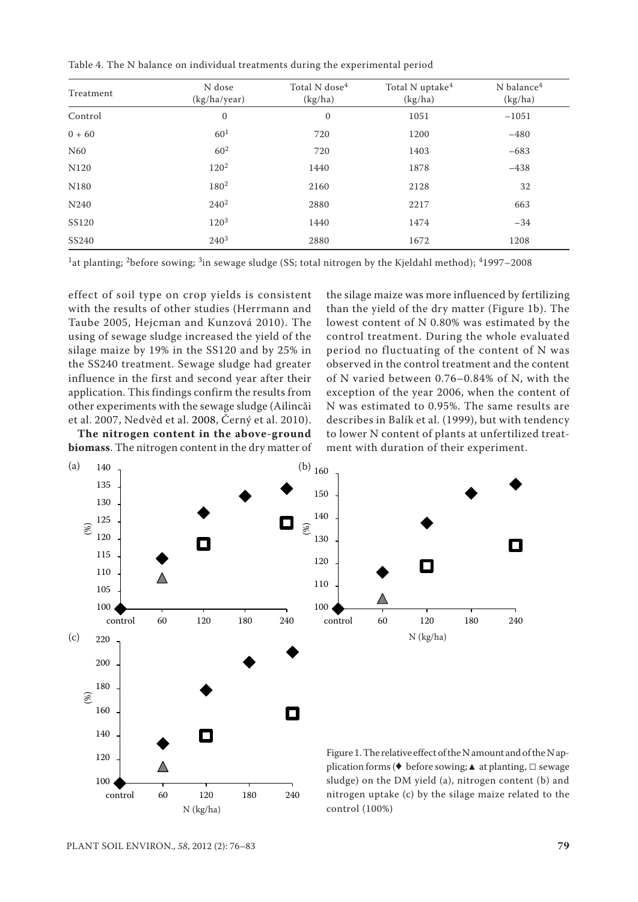Table 4. The N balance on individual treatments during the experimental period

| Treatment        | N dose<br>(kg/ha/year) | Total N dose <sup>4</sup><br>(kg/ha) | Total N uptake <sup>4</sup><br>(kg/ha) | N balance <sup>4</sup><br>(kg/ha) |  |
|------------------|------------------------|--------------------------------------|----------------------------------------|-----------------------------------|--|
| Control          | $\mathbf{0}$           | $\boldsymbol{0}$                     | 1051                                   | $-1051$                           |  |
| $0 + 60$         | 60 <sup>1</sup>        | 720                                  | 1200                                   | $-480$                            |  |
| N60              | $60^{2}$               | 720                                  | 1403                                   | $-683$                            |  |
| N120             | $120^2$                | 1440                                 | 1878                                   | $-438$                            |  |
| N <sub>180</sub> | 180 <sup>2</sup>       | 2160                                 | 2128                                   | 32                                |  |
| N240             | $240^2$                | 2880                                 | 2217                                   | 663                               |  |
| <b>SS120</b>     | $120^{3}$              | 1440<br>1474                         |                                        | $-34$                             |  |
| SS240            | $240^{3}$              | 2880                                 | 1672                                   | 1208                              |  |

<sup>1</sup>at planting; <sup>2</sup>before sowing; <sup>3</sup>in sewage sludge (SS; total nitrogen by the Kjeldahl method); <sup>4</sup>1997-2008

effect of soil type on crop yields is consistent with the results of other studies (Herrmann and Taube 2005, Hejcman and Kunzová 2010). The using of sewage sludge increased the yield of the silage maize by 19% in the SS120 and by 25% in the SS240 treatment. Sewage sludge had greater influence in the first and second year after their application. This findings confirm the results from other experiments with the sewage sludge (Ailincăi et al. 2007, Nedvěd et al. 2008, Černý et al. 2010).

**The nitrogen content in the above-ground biomass**. The nitrogen content in the dry matter of

the silage maize was more influenced by fertilizing than the yield of the dry matter (Figure 1b). The lowest content of N 0.80% was estimated by the control treatment. During the whole evaluated period no fluctuating of the content of N was observed in the control treatment and the content of N varied between 0.76–0.84% of N, with the exception of the year 2006, when the content of N was estimated to 0.95%. The same results are describes in Balík et al. (1999), but with tendency to lower N content of plants at unfertilized treatment with duration of their experiment.

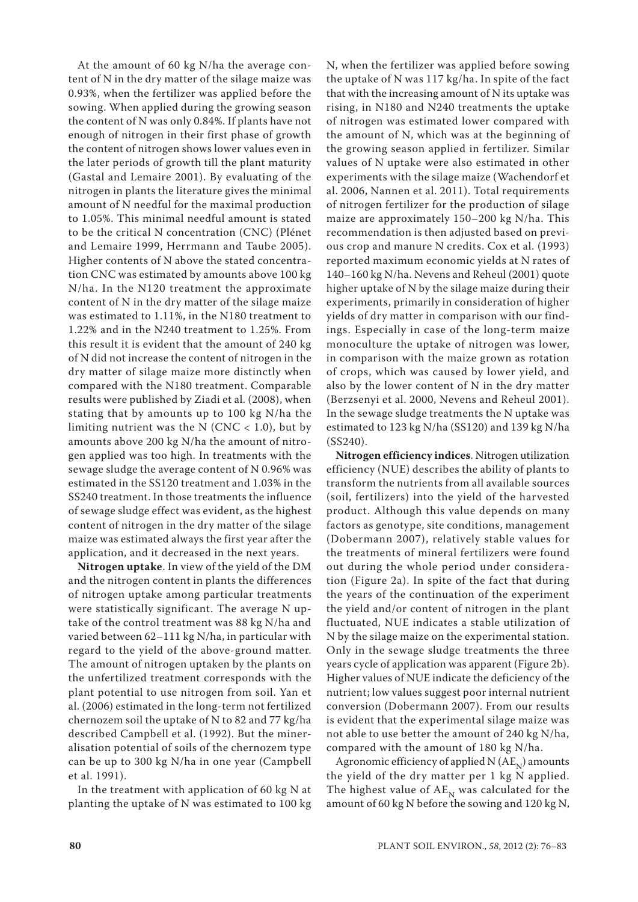At the amount of 60 kg N/ha the average content of N in the dry matter of the silage maize was 0.93%, when the fertilizer was applied before the sowing. When applied during the growing season the content of N was only 0.84%. If plants have not enough of nitrogen in their first phase of growth the content of nitrogen shows lower values even in the later periods of growth till the plant maturity (Gastal and Lemaire 2001). By evaluating of the nitrogen in plants the literature gives the minimal amount of N needful for the maximal production to 1.05%. This minimal needful amount is stated to be the critical N concentration (CNC) (Plénet and Lemaire 1999, Herrmann and Taube 2005). Higher contents of N above the stated concentration CNC was estimated by amounts above 100 kg N/ha. In the N120 treatment the approximate content of N in the dry matter of the silage maize was estimated to 1.11%, in the N180 treatment to 1.22% and in the N240 treatment to 1.25%. From this result it is evident that the amount of 240 kg of N did not increase the content of nitrogen in the dry matter of silage maize more distinctly when compared with the N180 treatment. Comparable results were published by Ziadi et al. (2008), when stating that by amounts up to 100 kg N/ha the limiting nutrient was the N (CNC  $<$  1.0), but by amounts above 200 kg N/ha the amount of nitrogen applied was too high. In treatments with the sewage sludge the average content of N 0.96% was estimated in the SS120 treatment and 1.03% in the SS240 treatment. In those treatments the influence of sewage sludge effect was evident, as the highest content of nitrogen in the dry matter of the silage maize was estimated always the first year after the application, and it decreased in the next years.

**Nitrogen uptake**. In view of the yield of the DM and the nitrogen content in plants the differences of nitrogen uptake among particular treatments were statistically significant. The average N uptake of the control treatment was 88 kg N/ha and varied between 62–111 kg N/ha, in particular with regard to the yield of the above-ground matter. The amount of nitrogen uptaken by the plants on the unfertilized treatment corresponds with the plant potential to use nitrogen from soil. Yan et al. (2006) estimated in the long-term not fertilized chernozem soil the uptake of N to 82 and 77 kg/ha described Campbell et al. (1992). But the mineralisation potential of soils of the chernozem type can be up to 300 kg N/ha in one year (Campbell et al. 1991).

In the treatment with application of 60 kg N at planting the uptake of N was estimated to 100 kg N, when the fertilizer was applied before sowing the uptake of N was 117 kg/ha. In spite of the fact that with the increasing amount of N its uptake was rising, in N180 and N240 treatments the uptake of nitrogen was estimated lower compared with the amount of N, which was at the beginning of the growing season applied in fertilizer. Similar values of N uptake were also estimated in other experiments with the silage maize (Wachendorf et al. 2006, Nannen et al. 2011). Total requirements of nitrogen fertilizer for the production of silage maize are approximately 150–200 kg N/ha. This recommendation is then adjusted based on previous crop and manure N credits. Cox et al. (1993) reported maximum economic yields at N rates of 140–160 kg N/ha. Nevens and Reheul (2001) quote higher uptake of N by the silage maize during their experiments, primarily in consideration of higher yields of dry matter in comparison with our findings. Especially in case of the long-term maize monoculture the uptake of nitrogen was lower, in comparison with the maize grown as rotation of crops, which was caused by lower yield, and also by the lower content of N in the dry matter (Berzsenyi et al. 2000, Nevens and Reheul 2001). In the sewage sludge treatments the N uptake was estimated to 123 kg N/ha (SS120) and 139 kg N/ha (SS240).

**Nitrogen efficiency indices**. Nitrogen utilization efficiency (NUE) describes the ability of plants to transform the nutrients from all available sources (soil, fertilizers) into the yield of the harvested product. Although this value depends on many factors as genotype, site conditions, management (Dobermann 2007), relatively stable values for the treatments of mineral fertilizers were found out during the whole period under consideration (Figure 2a). In spite of the fact that during the years of the continuation of the experiment the yield and/or content of nitrogen in the plant fluctuated, NUE indicates a stable utilization of N by the silage maize on the experimental station. Only in the sewage sludge treatments the three years cycle of application was apparent (Figure 2b). Higher values of NUE indicate the deficiency of the nutrient; low values suggest poor internal nutrient conversion (Dobermann 2007). From our results is evident that the experimental silage maize was not able to use better the amount of 240 kg N/ha, compared with the amount of 180 kg N/ha.

Agronomic efficiency of applied N  $(AE_N)$  amounts the yield of the dry matter per 1 kg N applied. The highest value of  $AE_{N}$  was calculated for the amount of 60 kg N before the sowing and 120 kg N,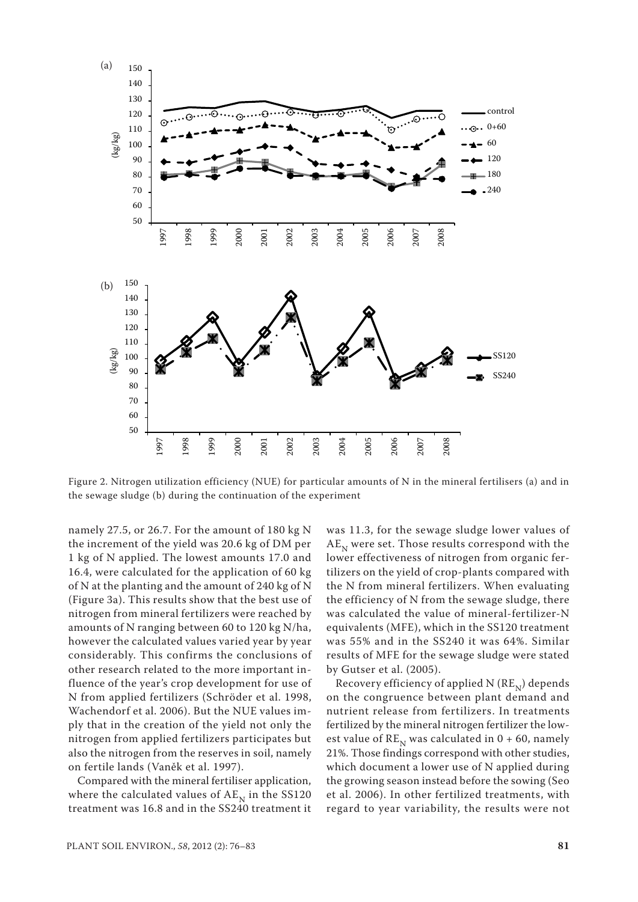

Figure 2. Nitrogen utilization efficiency (NUE) for particular amounts of N in the mineral fertilisers (a) and in the sewage sludge (b) during the continuation of the experiment

namely 27.5, or 26.7. For the amount of 180 kg N the increment of the yield was 20.6 kg of DM per 1 kg of N applied. The lowest amounts 17.0 and 16.4, were calculated for the application of 60 kg of N at the planting and the amount of 240 kg of N (Figure 3a). This results show that the best use of nitrogen from mineral fertilizers were reached by amounts of N ranging between 60 to 120 kg N/ha, however the calculated values varied year by year considerably. This confirms the conclusions of other research related to the more important influence of the year's crop development for use of N from applied fertilizers (Schröder et al. 1998, Wachendorf et al. 2006). But the NUE values imply that in the creation of the yield not only the nitrogen from applied fertilizers participates but also the nitrogen from the reserves in soil, namely on fertile lands (Vaněk et al. 1997).

Compared with the mineral fertiliser application, where the calculated values of  $AE<sub>N</sub>$  in the SS120 treatment was 16.8 and in the SS240 treatment it was 11.3, for the sewage sludge lower values of  $AE<sub>N</sub>$  were set. Those results correspond with the lower effectiveness of nitrogen from organic fertilizers on the yield of crop-plants compared with the N from mineral fertilizers. When evaluating the efficiency of N from the sewage sludge, there was calculated the value of mineral-fertilizer-N equivalents (MFE), which in the SS120 treatment was 55% and in the SS240 it was 64%. Similar results of MFE for the sewage sludge were stated by Gutser et al. (2005).

Recovery efficiency of applied N  $(RE_{N})$  depends on the congruence between plant demand and nutrient release from fertilizers. In treatments fertilized by the mineral nitrogen fertilizer the lowest value of  $RE<sub>N</sub>$  was calculated in 0 + 60, namely 21%. Those findings correspond with other studies, which document a lower use of N applied during the growing season instead before the sowing (Seo et al. 2006). In other fertilized treatments, with regard to year variability, the results were not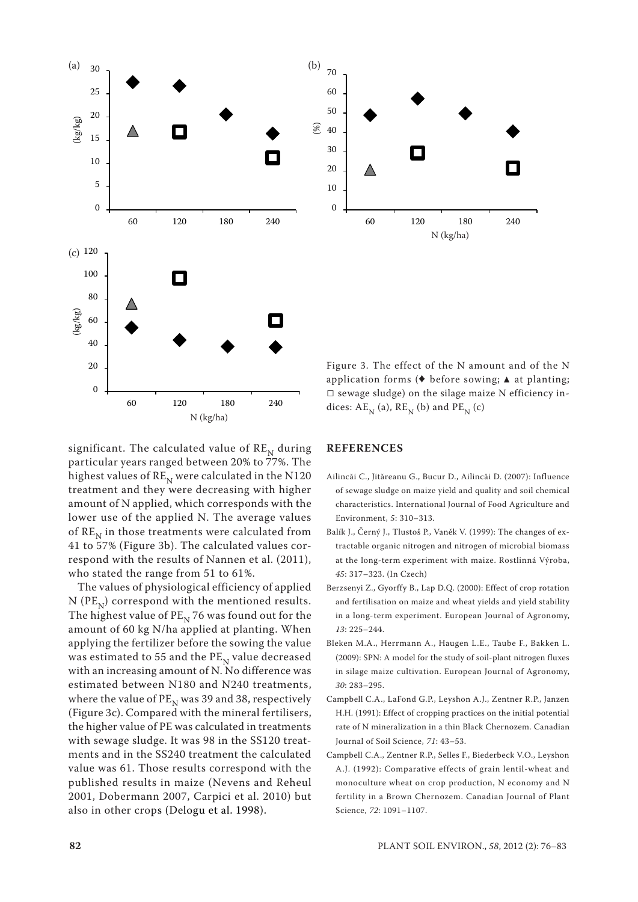

significant. The calculated value of  $RE<sub>N</sub>$  during particular years ranged between 20% to 77%. The highest values of  $RE_{\text{N}}$  were calculated in the N120 treatment and they were decreasing with higher amount of N applied, which corresponds with the lower use of the applied N. The average values of  $RE<sub>N</sub>$  in those treatments were calculated from 41 to 57% (Figure 3b). The calculated values correspond with the results of Nannen et al. (2011), who stated the range from 51 to 61%.

N (kg/ha)

The values of physiological efficiency of applied N ( $PE_{N}$ ) correspond with the mentioned results. The highest value of  $PE<sub>N</sub>$  76 was found out for the amount of 60 kg N/ha applied at planting. When applying the fertilizer before the sowing the value was estimated to 55 and the  $PE_{N}$  value decreased with an increasing amount of N. No difference was estimated between N180 and N240 treatments, where the value of  $PE<sub>N</sub>$  was 39 and 38, respectively (Figure 3c). Compared with the mineral fertilisers, the higher value of PE was calculated in treatments with sewage sludge. It was 98 in the SS120 treatments and in the SS240 treatment the calculated value was 61. Those results correspond with the published results in maize (Nevens and Reheul 2001, Dobermann 2007, Carpici et al. 2010) but also in other crops (Delogu et al. 1998).

application forms (♦ before sowing; ▲ at planting;  $\square$  sewage sludge) on the silage maize N efficiency indices:  $AE_N$  (a),  $RE_N$  (b) and  $PE_N$  (c)

## **REFERENCES**

- Ailincăi C., Jităreanu G., Bucur D., Ailincăi D. (2007): Influence of sewage sludge on maize yield and quality and soil chemical characteristics. International Journal of Food Agriculture and Environment, *5*: 310–313.
- Balík J., Černý J., Tlustoš P., Vaněk V. (1999): The changes of extractable organic nitrogen and nitrogen of microbial biomass at the long-term experiment with maize. Rostlinná Výroba, *45*: 317–323. (In Czech)
- Berzsenyi Z., Gyorffy B., Lap D.Q. (2000): Effect of crop rotation and fertilisation on maize and wheat yields and yield stability in a long-term experiment. European Journal of Agronomy, *13*: 225–244.
- Bleken M.A., Herrmann A., Haugen L.E., Taube F., Bakken L. (2009): SPN: A model for the study of soil-plant nitrogen fluxes in silage maize cultivation. European Journal of Agronomy, *30*: 283–295.
- Campbell C.A., LaFond G.P., Leyshon A.J., Zentner R.P., Janzen H.H. (1991): Effect of cropping practices on the initial potential rate of N mineralization in a thin Black Chernozem. Canadian Journal of Soil Science, *71*: 43–53.
- Campbell C.A., Zentner R.P., Selles F., Biederbeck V.O., Leyshon A.J. (1992): Comparative effects of grain lentil-wheat and monoculture wheat on crop production, N economy and N fertility in a Brown Chernozem. Canadian Journal of Plant Science, *72*: 1091–1107.